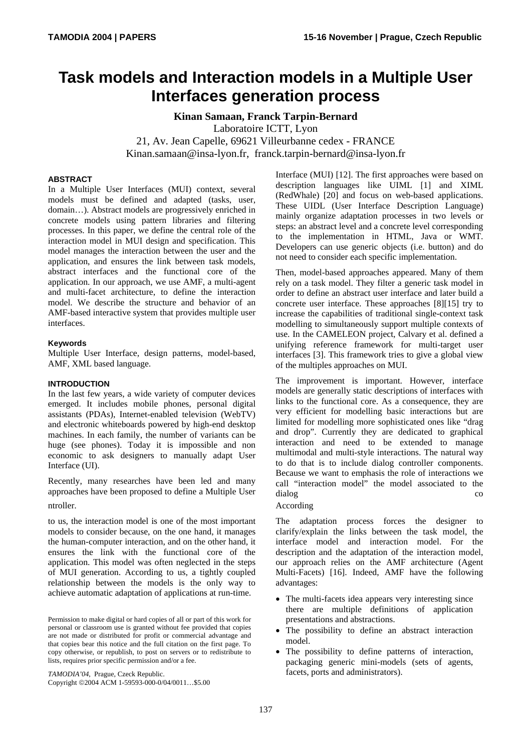# **Task models and Interaction models in a Multiple User Interfaces generation process**

**Kinan Samaan, Franck Tarpin-Bernard** Laboratoire ICTT, Lyon 21, Av. Jean Capelle, 69621 Villeurbanne cedex - FRANCE Kinan.samaan@insa-lyon.fr, franck.tarpin-bernard@insa-lyon.fr

# **ABSTRACT**

In a Multiple User Interfaces (MUI) context, several models must be defined and adapted (tasks, user, domain…). Abstract models are progressively enriched in concrete models using pattern libraries and filtering processes. In this paper, we define the central role of the interaction model in MUI design and specification. This model manages the interaction between the user and the application, and ensures the link between task models, abstract interfaces and the functional core of the application. In our approach, we use AMF, a multi-agent and multi-facet architecture, to define the interaction model. We describe the structure and behavior of an AMF-based interactive system that provides multiple user interfaces.

# **Keywords**

Multiple User Interface, design patterns, model-based, AMF, XML based language.

# **INTRODUCTION**

In the last few years, a wide variety of computer devices emerged. It includes mobile phones, personal digital assistants (PDAs), Internet-enabled television (WebTV) and electronic whiteboards powered by high-end desktop machines. In each family, the number of variants can be huge (see phones). Today it is impossible and non economic to ask designers to manually adapt User Interface (UI).

Recently, many researches have been led and many approaches have been proposed to define a Multiple User ntroller. According the state of the state of the state of the state of the state of the state of the state of the state of the state of the state of the state of the state of the state of the state of the state of the sta

to us, the interaction model is one of the most important models to consider because, on the one hand, it manages the human-computer interaction, and on the other hand, it ensures the link with the functional core of the application. This model was often neglected in the steps of MUI generation. According to us, a tightly coupled relationship between the models is the only way to achieve automatic adaptation of applications at run-time.

*TAMODIA'04*, Prague, Czeck Republic.

Copyright ©2004 ACM 1-59593-000-0/04/0011…\$5.00

Interface (MUI) [12]. The first approaches were based on description languages like UIML [1] and XIML (RedWhale) [20] and focus on web-based applications. These UIDL (User Interface Description Language) mainly organize adaptation processes in two levels or steps: an abstract level and a concrete level corresponding to the implementation in HTML, Java or WMT. Developers can use generic objects (i.e. button) and do not need to consider each specific implementation.

Then, model-based approaches appeared. Many of them rely on a task model. They filter a generic task model in order to define an abstract user interface and later build a concrete user interface. These approaches [8][15] try to increase the capabilities of traditional single-context task modelling to simultaneously support multiple contexts of use. In the CAMELEON project, Calvary et al. defined a unifying reference framework for multi-target user interfaces [3]. This framework tries to give a global view of the multiples approaches on MUI.

The improvement is important. However, interface models are generally static descriptions of interfaces with links to the functional core. As a consequence, they are very efficient for modelling basic interactions but are limited for modelling more sophisticated ones like "drag and drop". Currently they are dedicated to graphical interaction and need to be extended to manage multimodal and multi-style interactions. The natural way to do that is to include dialog controller components. Because we want to emphasis the role of interactions we call "interaction model" the model associated to the dialog co

The adaptation process forces the designer to clarify/explain the links between the task model, the interface model and interaction model. For the description and the adaptation of the interaction model, our approach relies on the AMF architecture (Agent Multi-Facets) [16]. Indeed, AMF have the following advantages:

- The multi-facets idea appears very interesting since there are multiple definitions of application presentations and abstractions.
- The possibility to define an abstract interaction model.
- The possibility to define patterns of interaction, packaging generic mini-models (sets of agents, facets, ports and administrators).

Permission to make digital or hard copies of all or part of this work for personal or classroom use is granted without fee provided that copies are not made or distributed for profit or commercial advantage and that copies bear this notice and the full citation on the first page. To copy otherwise, or republish, to post on servers or to redistribute to lists, requires prior specific permission and/or a fee.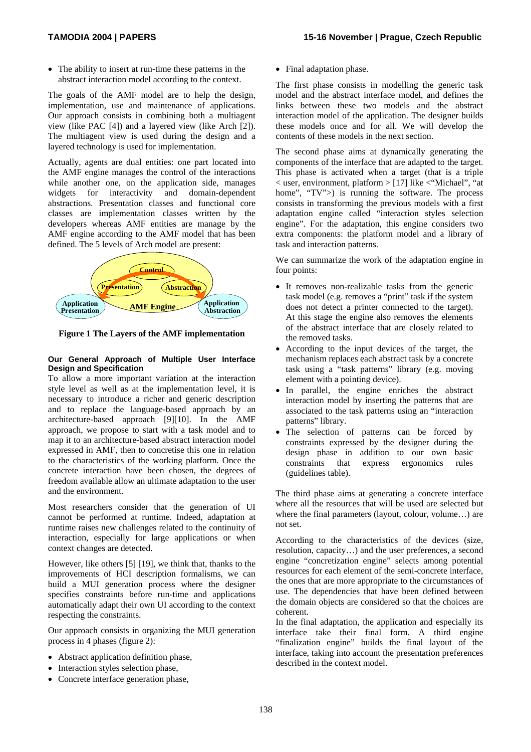• The ability to insert at run-time these patterns in the abstract interaction model according to the context.

The goals of the AMF model are to help the design, implementation, use and maintenance of applications. Our approach consists in combining both a multiagent view (like PAC [4]) and a layered view (like Arch [2]). The multiagent view is used during the design and a layered technology is used for implementation.

Actually, agents are dual entities: one part located into the AMF engine manages the control of the interactions while another one, on the application side, manages widgets for interactivity and domain-dependent abstractions. Presentation classes and functional core classes are implementation classes written by the developers whereas AMF entities are manage by the AMF engine according to the AMF model that has been defined. The 5 levels of Arch model are present:



**Figure 1 The Layers of the AMF implementation** 

# **Our General Approach of Multiple User Interface Design and Specification**

To allow a more important variation at the interaction style level as well as at the implementation level, it is necessary to introduce a richer and generic description and to replace the language-based approach by an architecture-based approach [9][10]. In the AMF approach, we propose to start with a task model and to map it to an architecture-based abstract interaction model expressed in AMF, then to concretise this one in relation to the characteristics of the working platform. Once the concrete interaction have been chosen, the degrees of freedom available allow an ultimate adaptation to the user and the environment.

Most researchers consider that the generation of UI cannot be performed at runtime. Indeed, adaptation at runtime raises new challenges related to the continuity of interaction, especially for large applications or when context changes are detected.

However, like others [5] [19], we think that, thanks to the improvements of HCI description formalisms, we can build a MUI generation process where the designer specifies constraints before run-time and applications automatically adapt their own UI according to the context respecting the constraints.

Our approach consists in organizing the MUI generation process in 4 phases (figure 2):

- Abstract application definition phase,
- Interaction styles selection phase,
- Concrete interface generation phase,

• Final adaptation phase.

The first phase consists in modelling the generic task model and the abstract interface model, and defines the links between these two models and the abstract interaction model of the application. The designer builds these models once and for all. We will develop the contents of these models in the next section.

The second phase aims at dynamically generating the components of the interface that are adapted to the target. This phase is activated when a target (that is a triple < user, environment, platform > [17] like <"Michael", "at home", "TV">) is running the software. The process consists in transforming the previous models with a first adaptation engine called "interaction styles selection engine". For the adaptation, this engine considers two extra components: the platform model and a library of task and interaction patterns.

We can summarize the work of the adaptation engine in four points:

- It removes non-realizable tasks from the generic task model (e.g. removes a "print" task if the system does not detect a printer connected to the target). At this stage the engine also removes the elements of the abstract interface that are closely related to the removed tasks.
- According to the input devices of the target, the mechanism replaces each abstract task by a concrete task using a "task patterns" library (e.g. moving element with a pointing device).
- In parallel, the engine enriches the abstract interaction model by inserting the patterns that are associated to the task patterns using an "interaction patterns" library.
- The selection of patterns can be forced by constraints expressed by the designer during the design phase in addition to our own basic constraints that express ergonomics rules (guidelines table).

The third phase aims at generating a concrete interface where all the resources that will be used are selected but where the final parameters (layout, colour, volume…) are not set.

According to the characteristics of the devices (size, resolution, capacity…) and the user preferences, a second engine "concretization engine" selects among potential resources for each element of the semi-concrete interface, the ones that are more appropriate to the circumstances of use. The dependencies that have been defined between the domain objects are considered so that the choices are coherent.

In the final adaptation, the application and especially its interface take their final form. A third engine "finalization engine" builds the final layout of the interface, taking into account the presentation preferences described in the context model.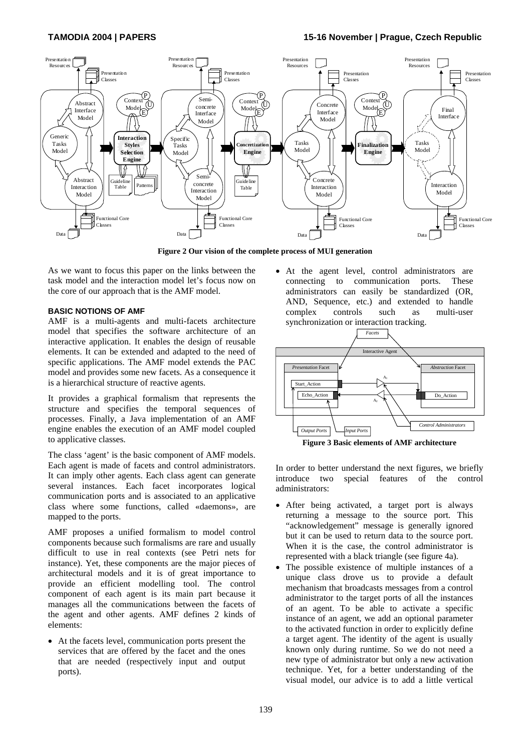

**Figure 2 Our vision of the complete process of MUI generation** 

As we want to focus this paper on the links between the task model and the interaction model let's focus now on the core of our approach that is the AMF model.

## **BASIC NOTIONS OF AMF**

AMF is a multi-agents and multi-facets architecture model that specifies the software architecture of an interactive application. It enables the design of reusable elements. It can be extended and adapted to the need of specific applications. The AMF model extends the PAC model and provides some new facets. As a consequence it is a hierarchical structure of reactive agents.

It provides a graphical formalism that represents the structure and specifies the temporal sequences of processes. Finally, a Java implementation of an AMF engine enables the execution of an AMF model coupled to applicative classes.

The class 'agent' is the basic component of AMF models. Each agent is made of facets and control administrators. It can imply other agents. Each class agent can generate several instances. Each facet incorporates logical communication ports and is associated to an applicative class where some functions, called «daemons», are mapped to the ports.

AMF proposes a unified formalism to model control components because such formalisms are rare and usually difficult to use in real contexts (see Petri nets for instance). Yet, these components are the major pieces of architectural models and it is of great importance to provide an efficient modelling tool. The control component of each agent is its main part because it manages all the communications between the facets of the agent and other agents. AMF defines 2 kinds of elements:

• At the facets level, communication ports present the services that are offered by the facet and the ones that are needed (respectively input and output ports).

• At the agent level, control administrators are connecting to communication ports. These administrators can easily be standardized (OR, AND, Sequence, etc.) and extended to handle complex controls such as multi-user synchronization or interaction tracking.



In order to better understand the next figures, we briefly introduce two special features of the control administrators:

- After being activated, a target port is always returning a message to the source port. This "acknowledgement" message is generally ignored but it can be used to return data to the source port. When it is the case, the control administrator is represented with a black triangle (see figure 4a).
- The possible existence of multiple instances of a unique class drove us to provide a default mechanism that broadcasts messages from a control administrator to the target ports of all the instances of an agent. To be able to activate a specific instance of an agent, we add an optional parameter to the activated function in order to explicitly define a target agent. The identity of the agent is usually known only during runtime. So we do not need a new type of administrator but only a new activation technique. Yet, for a better understanding of the visual model, our advice is to add a little vertical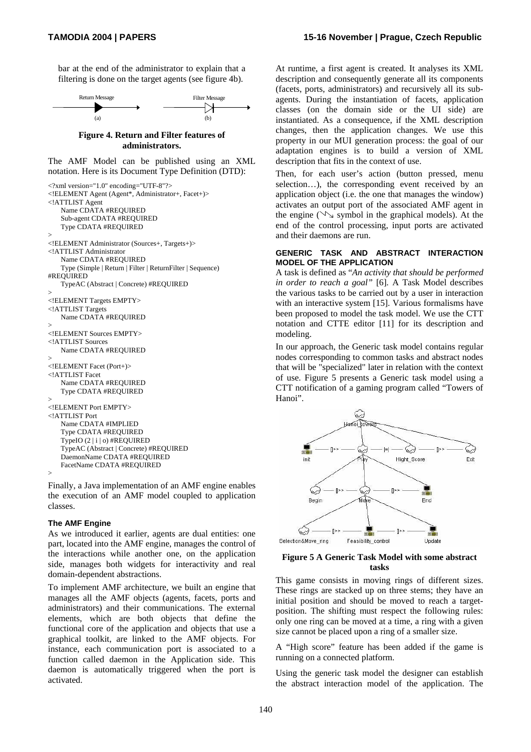bar at the end of the administrator to explain that a filtering is done on the target agents (see figure 4b).



#### **Figure 4. Return and Filter features of administrators.**

The AMF Model can be published using an XML notation. Here is its Document Type Definition (DTD):

```
<?xml version="1.0" encoding="UTF-8"?> 
<!ELEMENT Agent (Agent*, Administrator+, Facet+)> 
<!ATTLIST Agent 
    Name CDATA #REQUIRED 
    Sub-agent CDATA #REQUIRED 
    Type CDATA #REQUIRED 
> 
<!ELEMENT Administrator (Sources+, Targets+)> 
<!ATTLIST Administrator 
    Name CDATA #REQUIRED 
    Type (Simple | Return | Filter | ReturnFilter | Sequence) 
#REQUIRED 
    TypeAC (Abstract | Concrete) #REQUIRED 
> 
<!ELEMENT Targets EMPTY> 
<!ATTLIST Targets 
    Name CDATA #REQUIRED 
> 
<!ELEMENT Sources EMPTY> 
<!ATTLIST Sources 
    Name CDATA #REQUIRED 
> 
<!ELEMENT Facet (Port+)> 
<!ATTLIST Facet 
    Name CDATA #REQUIRED 
    Type CDATA #REQUIRED 
> 
<!ELEMENT Port EMPTY> 
<!ATTLIST Port 
    Name CDATA #IMPLIED 
    Type CDATA #REQUIRED 
    TypeIO (2 | i | o) #REQUIRED 
    TypeAC (Abstract | Concrete) #REQUIRED 
    DaemonName CDATA #REQUIRED 
    FacetName CDATA #REQUIRED 
>
```
Finally, a Java implementation of an AMF engine enables the execution of an AMF model coupled to application classes.

#### **The AMF Engine**

As we introduced it earlier, agents are dual entities: one part, located into the AMF engine, manages the control of the interactions while another one, on the application side, manages both widgets for interactivity and real domain-dependent abstractions.

To implement AMF architecture, we built an engine that manages all the AMF objects (agents, facets, ports and administrators) and their communications. The external elements, which are both objects that define the functional core of the application and objects that use a graphical toolkit, are linked to the AMF objects. For instance, each communication port is associated to a function called daemon in the Application side. This daemon is automatically triggered when the port is activated.

At runtime, a first agent is created. It analyses its XML description and consequently generate all its components (facets, ports, administrators) and recursively all its subagents. During the instantiation of facets, application classes (on the domain side or the UI side) are instantiated. As a consequence, if the XML description changes, then the application changes. We use this property in our MUI generation process: the goal of our adaptation engines is to build a version of XML description that fits in the context of use.

Then, for each user's action (button pressed, menu selection…), the corresponding event received by an application object (i.e. the one that manages the window) activates an output port of the associated AMF agent in the engine ( $\sqrt{ }$  symbol in the graphical models). At the end of the control processing, input ports are activated and their daemons are run.

#### **GENERIC TASK AND ABSTRACT INTERACTION MODEL OF THE APPLICATION**

A task is defined as "*An activity that should be performed in order to reach a goal"* [6]*.* A Task Model describes the various tasks to be carried out by a user in interaction with an interactive system [15]. Various formalisms have been proposed to model the task model. We use the CTT notation and CTTE editor [11] for its description and modeling.

In our approach, the Generic task model contains regular nodes corresponding to common tasks and abstract nodes that will be "specialized" later in relation with the context of use. Figure 5 presents a Generic task model using a CTT notification of a gaming program called "Towers of Hanoi".



# **Figure 5 A Generic Task Model with some abstract tasks**

This game consists in moving rings of different sizes. These rings are stacked up on three stems; they have an initial position and should be moved to reach a targetposition. The shifting must respect the following rules: only one ring can be moved at a time, a ring with a given size cannot be placed upon a ring of a smaller size.

A "High score" feature has been added if the game is running on a connected platform.

Using the generic task model the designer can establish the abstract interaction model of the application. The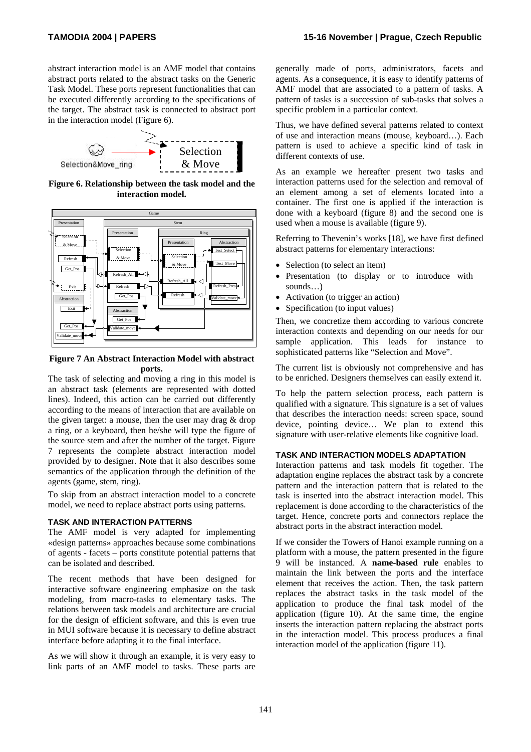abstract interaction model is an AMF model that contains abstract ports related to the abstract tasks on the Generic Task Model. These ports represent functionalities that can be executed differently according to the specifications of the target. The abstract task is connected to abstract port in the interaction model (Figure 6).



**Figure 6. Relationship between the task model and the interaction model.** 



**Figure 7 An Abstract Interaction Model with abstract ports.** 

The task of selecting and moving a ring in this model is an abstract task (elements are represented with dotted lines). Indeed, this action can be carried out differently according to the means of interaction that are available on the given target: a mouse, then the user may drag & drop a ring, or a keyboard, then he/she will type the figure of the source stem and after the number of the target. Figure 7 represents the complete abstract interaction model provided by to designer. Note that it also describes some semantics of the application through the definition of the agents (game, stem, ring).

To skip from an abstract interaction model to a concrete model, we need to replace abstract ports using patterns.

# **TASK AND INTERACTION PATTERNS**

The AMF model is very adapted for implementing «design patterns» approaches because some combinations of agents - facets – ports constitute potential patterns that can be isolated and described.

The recent methods that have been designed for interactive software engineering emphasize on the task modeling, from macro-tasks to elementary tasks. The relations between task models and architecture are crucial for the design of efficient software, and this is even true in MUI software because it is necessary to define abstract interface before adapting it to the final interface.

As we will show it through an example, it is very easy to link parts of an AMF model to tasks. These parts are

generally made of ports, administrators, facets and agents. As a consequence, it is easy to identify patterns of AMF model that are associated to a pattern of tasks. A pattern of tasks is a succession of sub-tasks that solves a specific problem in a particular context.

Thus, we have defined several patterns related to context of use and interaction means (mouse, keyboard…). Each pattern is used to achieve a specific kind of task in different contexts of use.

As an example we hereafter present two tasks and interaction patterns used for the selection and removal of an element among a set of elements located into a container. The first one is applied if the interaction is done with a keyboard (figure 8) and the second one is used when a mouse is available (figure 9).

Referring to Thevenin's works [18], we have first defined abstract patterns for elementary interactions:

- Selection (to select an item)
- Presentation (to display or to introduce with sounds…)
- Activation (to trigger an action)
- Specification (to input values)

Then, we concretize them according to various concrete interaction contexts and depending on our needs for our sample application. This leads for instance to sophisticated patterns like "Selection and Move".

The current list is obviously not comprehensive and has to be enriched. Designers themselves can easily extend it.

To help the pattern selection process, each pattern is qualified with a signature. This signature is a set of values that describes the interaction needs: screen space, sound device, pointing device… We plan to extend this signature with user-relative elements like cognitive load.

### **TASK AND INTERACTION MODELS ADAPTATION**

Interaction patterns and task models fit together. The adaptation engine replaces the abstract task by a concrete pattern and the interaction pattern that is related to the task is inserted into the abstract interaction model. This replacement is done according to the characteristics of the target. Hence, concrete ports and connectors replace the abstract ports in the abstract interaction model.

If we consider the Towers of Hanoi example running on a platform with a mouse, the pattern presented in the figure 9 will be instanced. A **name-based rule** enables to maintain the link between the ports and the interface element that receives the action. Then, the task pattern replaces the abstract tasks in the task model of the application to produce the final task model of the application (figure 10). At the same time, the engine inserts the interaction pattern replacing the abstract ports in the interaction model. This process produces a final interaction model of the application (figure 11).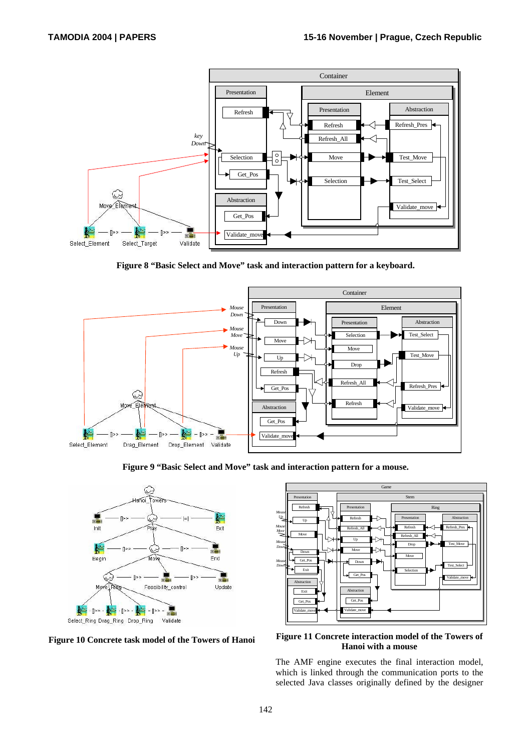

**Figure 8 "Basic Select and Move" task and interaction pattern for a keyboard.** 



**Figure 9 "Basic Select and Move" task and interaction pattern for a mouse.** 





**Figure 10 Concrete task model of the Towers of Hanoi** 



The AMF engine executes the final interaction model, which is linked through the communication ports to the selected Java classes originally defined by the designer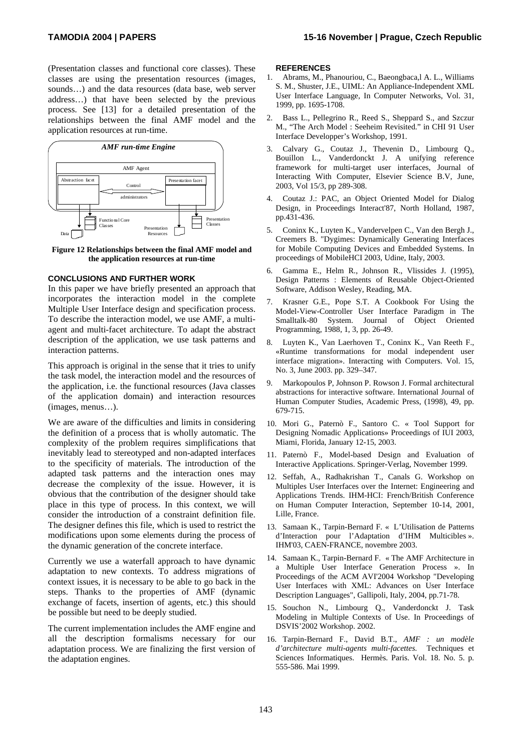(Presentation classes and functional core classes). These classes are using the presentation resources (images, sounds...) and the data resources (data base, web server address…) that have been selected by the previous process. See [13] for a detailed presentation of the relationships between the final AMF model and the application resources at run-time.



**Figure 12 Relationships between the final AMF model and the application resources at run-time** 

#### **CONCLUSIONS AND FURTHER WORK**

In this paper we have briefly presented an approach that incorporates the interaction model in the complete Multiple User Interface design and specification process. To describe the interaction model, we use AMF, a multiagent and multi-facet architecture. To adapt the abstract description of the application, we use task patterns and interaction patterns.

This approach is original in the sense that it tries to unify the task model, the interaction model and the resources of the application, i.e. the functional resources (Java classes of the application domain) and interaction resources (images, menus…).

We are aware of the difficulties and limits in considering the definition of a process that is wholly automatic. The complexity of the problem requires simplifications that inevitably lead to stereotyped and non-adapted interfaces to the specificity of materials. The introduction of the adapted task patterns and the interaction ones may decrease the complexity of the issue. However, it is obvious that the contribution of the designer should take place in this type of process. In this context, we will consider the introduction of a constraint definition file. The designer defines this file, which is used to restrict the modifications upon some elements during the process of the dynamic generation of the concrete interface.

Currently we use a waterfall approach to have dynamic adaptation to new contexts. To address migrations of context issues, it is necessary to be able to go back in the steps. Thanks to the properties of AMF (dynamic exchange of facets, insertion of agents, etc.) this should be possible but need to be deeply studied.

The current implementation includes the AMF engine and all the description formalisms necessary for our adaptation process. We are finalizing the first version of the adaptation engines.

#### **REFERENCES**

- 1. Abrams, M., Phanouriou, C., Baeongbaca,l A. L., Williams S. M., Shuster, J.E., UIML: An Appliance-Independent XML User Interface Language, In Computer Networks, Vol. 31, 1999, pp. 1695-1708.
- 2. Bass L., Pellegrino R., Reed S., Sheppard S., and Szczur M., "The Arch Model : Seeheim Revisited." in CHI 91 User Interface Developper's Workshop, 1991.
- 3. Calvary G., Coutaz J., Thevenin D., Limbourg Q., Bouillon L., Vanderdonckt J. A unifying reference framework for multi-target user interfaces, Journal of Interacting With Computer, Elsevier Science B.V, June, 2003, Vol 15/3, pp 289-308.
- 4. Coutaz J.: PAC, an Object Oriented Model for Dialog Design, in Proceedings Interact'87, North Holland, 1987, pp.431-436.
- 5. Coninx K., Luyten K., Vandervelpen C., Van den Bergh J., Creemers B. "Dygimes: Dynamically Generating Interfaces for Mobile Computing Devices and Embedded Systems. In proceedings of MobileHCI 2003, Udine, Italy, 2003.
- 6. Gamma E., Helm R., Johnson R., Vlissides J. (1995), Design Patterns : Elements of Reusable Object-Oriented Software, Addison Wesley, Reading, MA.
- 7. Krasner G.E., Pope S.T. A Cookbook For Using the Model-View-Controller User Interface Paradigm in The Smalltalk-80 System. Journal of Object Oriented Programming, 1988, 1, 3, pp. 26-49.
- 8. Luyten K., Van Laerhoven T., Coninx K., Van Reeth F., «Runtime transformations for modal independent user interface migration». Interacting with Computers. Vol. 15, No. 3, June 2003. pp. 329–347.
- 9. Markopoulos P, Johnson P. Rowson J. Formal architectural abstractions for interactive software. International Journal of Human Computer Studies, Academic Press, (1998), 49, pp. 679-715.
- 10. Mori G., Paternò F., Santoro C. « Tool Support for Designing Nomadic Applications» Proceedings of IUI 2003, Miami, Florida, January 12-15, 2003.
- 11. Paternò F., Model-based Design and Evaluation of Interactive Applications. Springer-Verlag, November 1999.
- 12. Seffah, A., Radhakrishan T., Canals G. Workshop on Multiples User Interfaces over the Internet: Engineering and Applications Trends. IHM-HCI: French/British Conference on Human Computer Interaction, September 10-14, 2001, Lille, France.
- 13. Samaan K., Tarpin-Bernard F. « L'Utilisation de Patterns d'Interaction pour l'Adaptation d'IHM Multicibles ». IHM'03, CAEN-FRANCE, novembre 2003.
- 14. Samaan K., Tarpin-Bernard F. « The AMF Architecture in a Multiple User Interface Generation Process ». In Proceedings of the ACM AVI'2004 Workshop "Developing User Interfaces with XML: Advances on User Interface Description Languages", Gallipoli, Italy, 2004, pp.71-78.
- 15. Souchon N., Limbourg Q., Vanderdonckt J. Task Modeling in Multiple Contexts of Use. In Proceedings of DSVIS'2002 Workshop. 2002.
- 16. Tarpin-Bernard F., David B.T., *AMF : un modèle d'architecture multi-agents multi-facettes.* Techniques et Sciences Informatiques. Hermès. Paris. Vol. 18. No. 5. p. 555-586. Mai 1999.